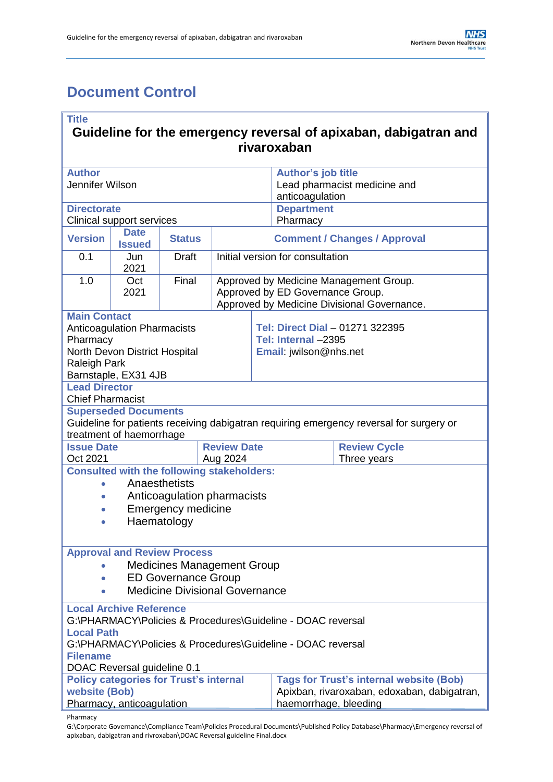# <span id="page-0-0"></span>**Document Control**

| <b>Title</b><br>Guideline for the emergency reversal of apixaban, dabigatran and                                       |                                    |                           |                             |                                                                                 |                                                        |                     |  |
|------------------------------------------------------------------------------------------------------------------------|------------------------------------|---------------------------|-----------------------------|---------------------------------------------------------------------------------|--------------------------------------------------------|---------------------|--|
|                                                                                                                        |                                    |                           |                             |                                                                                 | rivaroxaban                                            |                     |  |
| <b>Author</b>                                                                                                          |                                    |                           |                             |                                                                                 | <b>Author's job title</b>                              |                     |  |
| Jennifer Wilson                                                                                                        |                                    |                           |                             |                                                                                 | Lead pharmacist medicine and<br>anticoagulation        |                     |  |
| <b>Directorate</b>                                                                                                     |                                    |                           |                             |                                                                                 | <b>Department</b>                                      |                     |  |
| <b>Clinical support services</b><br><b>Date</b>                                                                        |                                    |                           |                             | Pharmacy                                                                        |                                                        |                     |  |
| <b>Version</b>                                                                                                         | <b>Issued</b>                      | <b>Status</b>             |                             | <b>Comment / Changes / Approval</b>                                             |                                                        |                     |  |
| 0.1                                                                                                                    | Jun<br>2021                        | <b>Draft</b>              |                             | Initial version for consultation                                                |                                                        |                     |  |
| 1.0                                                                                                                    | Oct                                | Final                     |                             | Approved by Medicine Management Group.                                          |                                                        |                     |  |
|                                                                                                                        | 2021                               |                           |                             | Approved by ED Governance Group.<br>Approved by Medicine Divisional Governance. |                                                        |                     |  |
| <b>Main Contact</b>                                                                                                    |                                    |                           |                             |                                                                                 |                                                        |                     |  |
| Pharmacy                                                                                                               | <b>Anticoagulation Pharmacists</b> |                           |                             |                                                                                 | Tel: Direct Dial - 01271 322395<br>Tel: Internal -2395 |                     |  |
|                                                                                                                        | North Devon District Hospital      |                           |                             |                                                                                 | Email: jwilson@nhs.net                                 |                     |  |
| <b>Raleigh Park</b>                                                                                                    |                                    |                           |                             |                                                                                 |                                                        |                     |  |
| <b>Lead Director</b>                                                                                                   | Barnstaple, EX31 4JB               |                           |                             |                                                                                 |                                                        |                     |  |
| <b>Chief Pharmacist</b>                                                                                                |                                    |                           |                             |                                                                                 |                                                        |                     |  |
| <b>Superseded Documents</b><br>Guideline for patients receiving dabigatran requiring emergency reversal for surgery or |                                    |                           |                             |                                                                                 |                                                        |                     |  |
|                                                                                                                        | treatment of haemorrhage           |                           |                             |                                                                                 |                                                        |                     |  |
| <b>Issue Date</b>                                                                                                      |                                    |                           | <b>Review Date</b>          |                                                                                 |                                                        | <b>Review Cycle</b> |  |
| Oct 2021<br><b>Consulted with the following stakeholders:</b>                                                          |                                    |                           | Aug 2024                    |                                                                                 |                                                        | Three years         |  |
|                                                                                                                        |                                    | Anaesthetists             |                             |                                                                                 |                                                        |                     |  |
|                                                                                                                        |                                    |                           | Anticoagulation pharmacists |                                                                                 |                                                        |                     |  |
|                                                                                                                        |                                    | <b>Emergency medicine</b> |                             |                                                                                 |                                                        |                     |  |
| Haematology                                                                                                            |                                    |                           |                             |                                                                                 |                                                        |                     |  |
|                                                                                                                        | <b>Approval and Review Process</b> |                           |                             |                                                                                 |                                                        |                     |  |
| <b>Medicines Management Group</b>                                                                                      |                                    |                           |                             |                                                                                 |                                                        |                     |  |
| <b>ED Governance Group</b><br>$\bullet$<br><b>Medicine Divisional Governance</b>                                       |                                    |                           |                             |                                                                                 |                                                        |                     |  |
|                                                                                                                        |                                    |                           |                             |                                                                                 |                                                        |                     |  |
| <b>Local Archive Reference</b><br>G:\PHARMACY\Policies & Procedures\Guideline - DOAC reversal                          |                                    |                           |                             |                                                                                 |                                                        |                     |  |
| <b>Local Path</b>                                                                                                      |                                    |                           |                             |                                                                                 |                                                        |                     |  |
| G:\PHARMACY\Policies & Procedures\Guideline - DOAC reversal                                                            |                                    |                           |                             |                                                                                 |                                                        |                     |  |
| <b>Filename</b><br>DOAC Reversal guideline 0.1                                                                         |                                    |                           |                             |                                                                                 |                                                        |                     |  |
| <b>Tags for Trust's internal website (Bob)</b><br><b>Policy categories for Trust's internal</b>                        |                                    |                           |                             |                                                                                 |                                                        |                     |  |
| website (Bob)                                                                                                          |                                    |                           |                             |                                                                                 | Apixban, rivaroxaban, edoxaban, dabigatran,            |                     |  |
| Pharmacy, anticoagulation<br>haemorrhage, bleeding                                                                     |                                    |                           |                             |                                                                                 |                                                        |                     |  |

Pharmacy

G:\Corporate Governance\Compliance Team\Policies Procedural Documents\Published Policy Database\Pharmacy\Emergency reversal of apixaban, dabigatran and rivroxaban\DOAC Reversal guideline Final.docx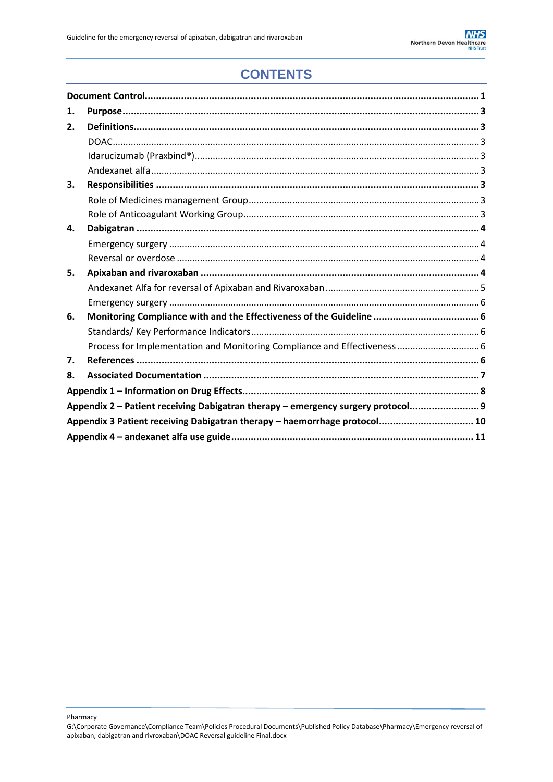## **CONTENTS**

| 1.                                                                               |                                                                      |  |  |  |  |
|----------------------------------------------------------------------------------|----------------------------------------------------------------------|--|--|--|--|
| 2.                                                                               |                                                                      |  |  |  |  |
|                                                                                  |                                                                      |  |  |  |  |
|                                                                                  |                                                                      |  |  |  |  |
|                                                                                  |                                                                      |  |  |  |  |
| 3.                                                                               |                                                                      |  |  |  |  |
|                                                                                  |                                                                      |  |  |  |  |
|                                                                                  |                                                                      |  |  |  |  |
| 4.                                                                               |                                                                      |  |  |  |  |
|                                                                                  |                                                                      |  |  |  |  |
|                                                                                  |                                                                      |  |  |  |  |
| 5.                                                                               |                                                                      |  |  |  |  |
|                                                                                  |                                                                      |  |  |  |  |
|                                                                                  |                                                                      |  |  |  |  |
| 6.                                                                               | Monitoring Compliance with and the Effectiveness of the Guideline  6 |  |  |  |  |
|                                                                                  |                                                                      |  |  |  |  |
|                                                                                  |                                                                      |  |  |  |  |
| 7.                                                                               |                                                                      |  |  |  |  |
| 8.                                                                               |                                                                      |  |  |  |  |
|                                                                                  |                                                                      |  |  |  |  |
| Appendix 2 - Patient receiving Dabigatran therapy - emergency surgery protocol 9 |                                                                      |  |  |  |  |
| Appendix 3 Patient receiving Dabigatran therapy - haemorrhage protocol 10        |                                                                      |  |  |  |  |
|                                                                                  |                                                                      |  |  |  |  |

G:\Corporate Governance\Compliance Team\Policies Procedural Documents\Published Policy Database\Pharmacy\Emergency reversal of apixaban, dabigatran and rivroxaban\DOAC Reversal guideline Final.docx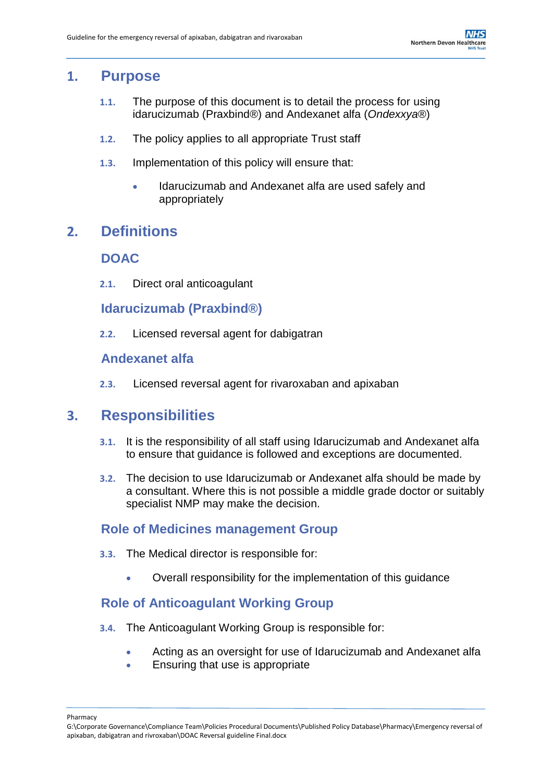### <span id="page-2-0"></span>**1. Purpose**

- **1.1.** The purpose of this document is to detail the process for using idarucizumab (Praxbind®) and Andexanet alfa (*Ondexxya*®)
- **1.2.** The policy applies to all appropriate Trust staff
- **1.3.** Implementation of this policy will ensure that:
	- Idarucizumab and Andexanet alfa are used safely and appropriately

### <span id="page-2-2"></span><span id="page-2-1"></span>**2. Definitions**

#### **DOAC**

**2.1.** Direct oral anticoagulant

<span id="page-2-3"></span>**Idarucizumab (Praxbind®)**

**2.2.** Licensed reversal agent for dabigatran

#### <span id="page-2-4"></span>**Andexanet alfa**

**2.3.** Licensed reversal agent for rivaroxaban and apixaban

### <span id="page-2-5"></span>**3. Responsibilities**

- **3.1.** It is the responsibility of all staff using Idarucizumab and Andexanet alfa to ensure that guidance is followed and exceptions are documented.
- **3.2.** The decision to use Idarucizumab or Andexanet alfa should be made by a consultant. Where this is not possible a middle grade doctor or suitably specialist NMP may make the decision.

#### <span id="page-2-6"></span>**Role of Medicines management Group**

- **3.3.** The Medical director is responsible for:
	- Overall responsibility for the implementation of this guidance

#### <span id="page-2-7"></span>**Role of Anticoagulant Working Group**

- **3.4.** The Anticoagulant Working Group is responsible for:
	- Acting as an oversight for use of Idarucizumab and Andexanet alfa
	- Ensuring that use is appropriate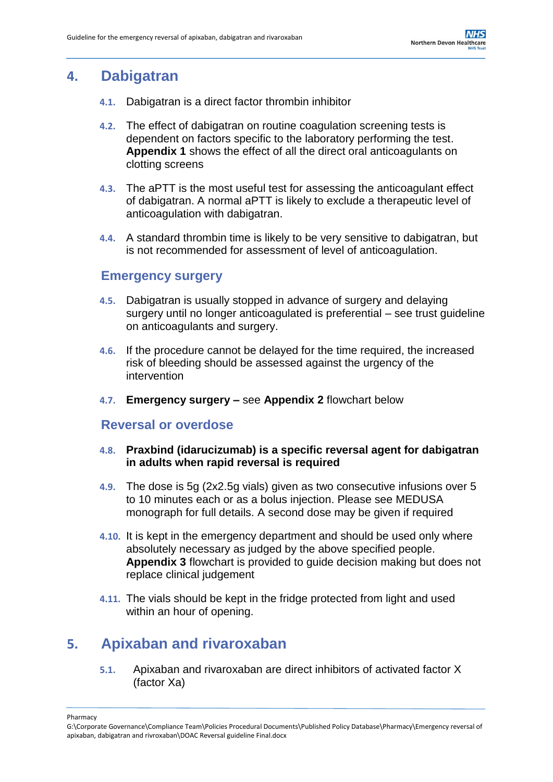## <span id="page-3-0"></span>**4. Dabigatran**

- **4.1.** Dabigatran is a direct factor thrombin inhibitor
- **4.2.** The effect of dabigatran on routine coagulation screening tests is dependent on factors specific to the laboratory performing the test. **Appendix 1** shows the effect of all the direct oral anticoagulants on clotting screens
- **4.3.** The aPTT is the most useful test for assessing the anticoagulant effect of dabigatran. A normal aPTT is likely to exclude a therapeutic level of anticoagulation with dabigatran.
- **4.4.** A standard thrombin time is likely to be very sensitive to dabigatran, but is not recommended for assessment of level of anticoagulation.

#### <span id="page-3-1"></span>**Emergency surgery**

- **4.5.** Dabigatran is usually stopped in advance of surgery and delaying surgery until no longer anticoagulated is preferential – see trust guideline on anticoagulants and surgery.
- **4.6.** If the procedure cannot be delayed for the time required, the increased risk of bleeding should be assessed against the urgency of the intervention
- **4.7. Emergency surgery –** see **Appendix 2** flowchart below

#### <span id="page-3-2"></span>**Reversal or overdose**

#### **4.8. Praxbind (idarucizumab) is a specific reversal agent for dabigatran in adults when rapid reversal is required**

- **4.9.** The dose is 5g (2x2.5g vials) given as two consecutive infusions over 5 to 10 minutes each or as a bolus injection. Please see MEDUSA monograph for full details. A second dose may be given if required
- **4.10.** It is kept in the emergency department and should be used only where absolutely necessary as judged by the above specified people. **Appendix 3** flowchart is provided to guide decision making but does not replace clinical judgement
- **4.11.** The vials should be kept in the fridge protected from light and used within an hour of opening.

## <span id="page-3-3"></span>**5. Apixaban and rivaroxaban**

**5.1.** Apixaban and rivaroxaban are direct inhibitors of activated factor X (factor Xa)

G:\Corporate Governance\Compliance Team\Policies Procedural Documents\Published Policy Database\Pharmacy\Emergency reversal of apixaban, dabigatran and rivroxaban\DOAC Reversal guideline Final.docx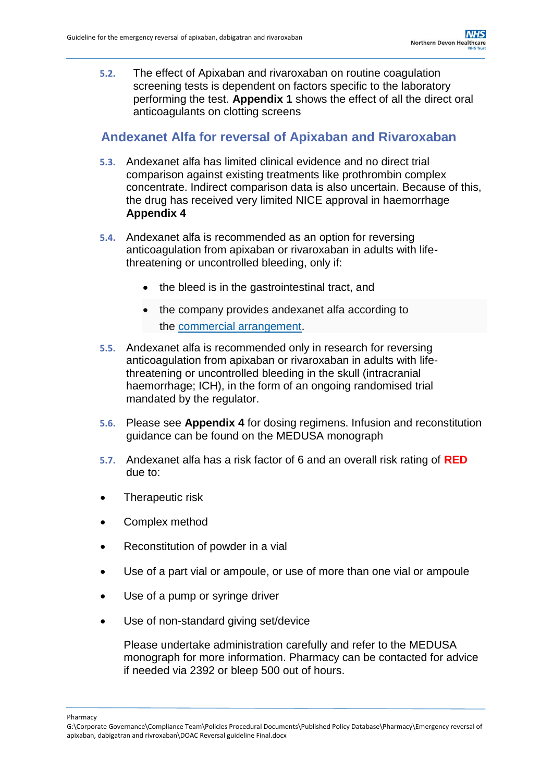**5.2.** The effect of Apixaban and rivaroxaban on routine coagulation screening tests is dependent on factors specific to the laboratory performing the test. **Appendix 1** shows the effect of all the direct oral anticoagulants on clotting screens

#### <span id="page-4-0"></span>**Andexanet Alfa for reversal of Apixaban and Rivaroxaban**

- **5.3.** Andexanet alfa has limited clinical evidence and no direct trial comparison against existing treatments like prothrombin complex concentrate. Indirect comparison data is also uncertain. Because of this, the drug has received very limited NICE approval in haemorrhage **Appendix 4**
- **5.4.** Andexanet alfa is recommended as an option for reversing anticoagulation from apixaban or rivaroxaban in adults with lifethreatening or uncontrolled bleeding, only if:
	- the bleed is in the gastrointestinal tract, and
	- the company provides andexanet alfa according to the [commercial arrangement.](https://www.nice.org.uk/guidance/ta697)
- **5.5.** Andexanet alfa is recommended only in research for reversing anticoagulation from apixaban or rivaroxaban in adults with lifethreatening or uncontrolled bleeding in the skull (intracranial haemorrhage; ICH), in the form of an ongoing randomised trial mandated by the regulator.
- **5.6.** Please see **Appendix 4** for dosing regimens. Infusion and reconstitution guidance can be found on the MEDUSA monograph
- **5.7.** Andexanet alfa has a risk factor of 6 and an overall risk rating of **RED** due to:
- Therapeutic risk
- Complex method
- Reconstitution of powder in a vial
- Use of a part vial or ampoule, or use of more than one vial or ampoule
- Use of a pump or syringe driver
- Use of non-standard giving set/device

Please undertake administration carefully and refer to the MEDUSA monograph for more information. Pharmacy can be contacted for advice if needed via 2392 or bleep 500 out of hours.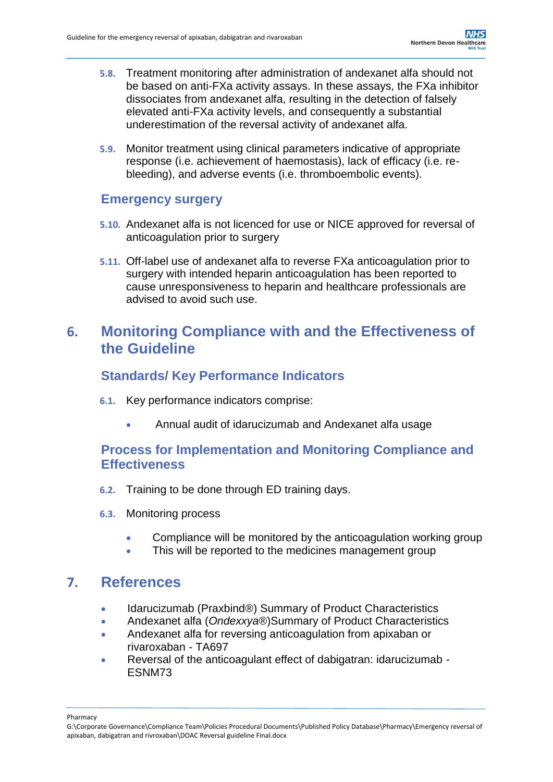- **5.8.** Treatment monitoring after administration of andexanet alfa should not be based on anti-FXa activity assays. In these assays, the FXa inhibitor dissociates from andexanet alfa, resulting in the detection of falsely elevated anti-FXa activity levels, and consequently a substantial underestimation of the reversal activity of andexanet alfa.
- **5.9.** Monitor treatment using clinical parameters indicative of appropriate response (i.e. achievement of haemostasis), lack of efficacy (i.e. rebleeding), and adverse events (i.e. thromboembolic events).

#### <span id="page-5-0"></span>**Emergency surgery**

- **5.10.** Andexanet alfa is not licenced for use or NICE approved for reversal of anticoagulation prior to surgery
- **5.11.** Off-label use of andexanet alfa to reverse FXa anticoagulation prior to surgery with intended heparin anticoagulation has been reported to cause unresponsiveness to heparin and healthcare professionals are advised to avoid such use.

## <span id="page-5-1"></span>**6. Monitoring Compliance with and the Effectiveness of the Guideline**

#### <span id="page-5-2"></span>**Standards/ Key Performance Indicators**

- **6.1.** Key performance indicators comprise:
	- Annual audit of idarucizumab and Andexanet alfa usage

#### <span id="page-5-3"></span>**Process for Implementation and Monitoring Compliance and Effectiveness**

- **6.2.** Training to be done through ED training days.
- **6.3.** Monitoring process
	- Compliance will be monitored by the anticoagulation working group
	- This will be reported to the medicines management group

### <span id="page-5-4"></span>**7. References**

- Idarucizumab (Praxbind®) Summary of Product Characteristics
- Andexanet alfa (*Ondexxya*®)Summary of Product Characteristics
- Andexanet alfa for reversing anticoagulation from apixaban or rivaroxaban - TA697
- Reversal of the anticoagulant effect of dabigatran: idarucizumab ESNM73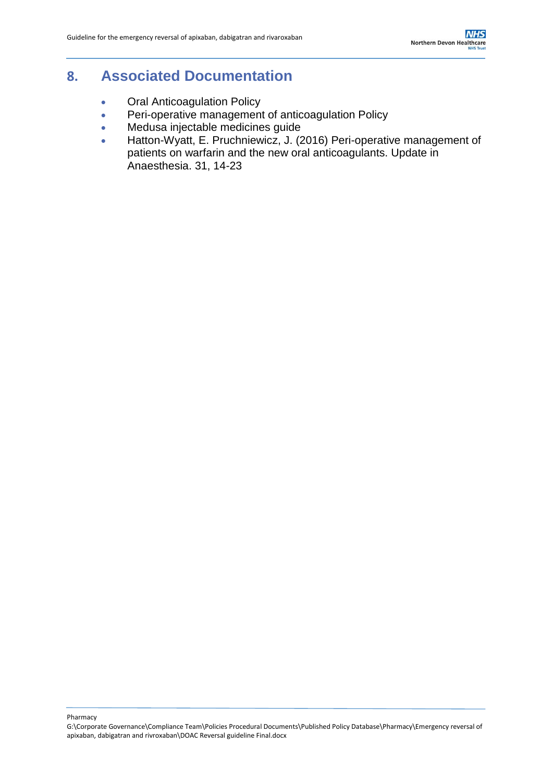## <span id="page-6-0"></span>**8. Associated Documentation**

- **Oral Anticoagulation Policy**
- **Peri-operative management of anticoagulation Policy**
- Medusa injectable medicines guide
- Hatton-Wyatt, E. Pruchniewicz, J. (2016) Peri-operative management of patients on warfarin and the new oral anticoagulants. Update in Anaesthesia. 31, 14-23

G:\Corporate Governance\Compliance Team\Policies Procedural Documents\Published Policy Database\Pharmacy\Emergency reversal of apixaban, dabigatran and rivroxaban\DOAC Reversal guideline Final.docx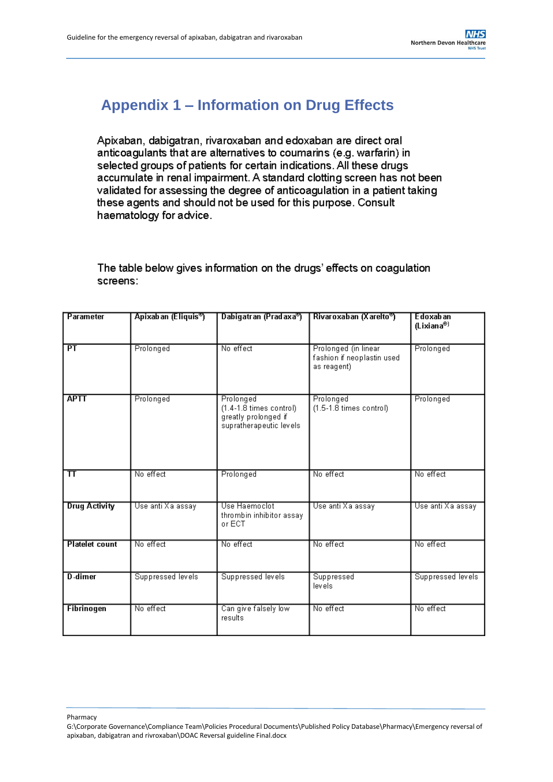# <span id="page-7-0"></span>**Appendix 1 – Information on Drug Effects**

Apixaban, dabigatran, rivaroxaban and edoxaban are direct oral anticoagulants that are alternatives to coumarins (e.g. warfarin) in selected groups of patients for certain indications. All these drugs accumulate in renal impairment. A standard clotting screen has not been validated for assessing the degree of anticoagulation in a patient taking these agents and should not be used for this purpose. Consult haematology for advice.

The table below gives information on the drugs' effects on coagulation screens:

| Parameter             | Apixaban (Eliquis <sup>®</sup> ) | Dabigatran (Pradaxa®)                                                                        | Rivaroxaban (Xarelto®)                                            | <b>Edoxaban</b><br>(Lixiana®) |
|-----------------------|----------------------------------|----------------------------------------------------------------------------------------------|-------------------------------------------------------------------|-------------------------------|
| PT                    | Prolonged                        | No effect                                                                                    | Prolonged (in linear<br>fashion if neoplastin used<br>as reagent) | Prolonged                     |
| <b>APTT</b>           | Prolonged                        | Prolonged<br>$(1.4-1.8 \times \text{cm})$<br>greatly prolonged if<br>supratherapeutic levels | Prolonged<br>$(1.5-1.8 \times \text{times control})$              | Prolonged                     |
| $\bm{\pi}$            | No effect                        | Prolonged                                                                                    | No effect                                                         | No effect                     |
| <b>Drug Activity</b>  | Use anti Xa assay                | Use Haemoclot<br>thrombin inhibitor assay<br>or ECT                                          | Use anti Xa assay                                                 | Use anti Xa assay             |
| <b>Platelet count</b> | No effect                        | No effect                                                                                    | No effect                                                         | No effect                     |
| D-dimer               | Suppressed levels                | Suppressed levels                                                                            | Suppressed<br>levels                                              | Suppressed levels             |
| <b>Fibrinogen</b>     | No effect                        | Can give falsely low<br>results                                                              | No effect                                                         | No effect                     |

G:\Corporate Governance\Compliance Team\Policies Procedural Documents\Published Policy Database\Pharmacy\Emergency reversal of apixaban, dabigatran and rivroxaban\DOAC Reversal guideline Final.docx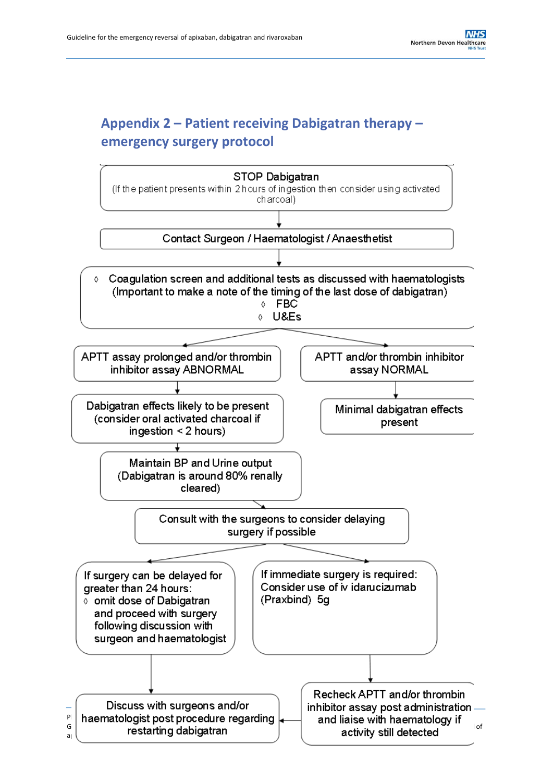## <span id="page-8-0"></span>**Appendix 2 – Patient receiving Dabigatran therapy – emergency surgery protocol**

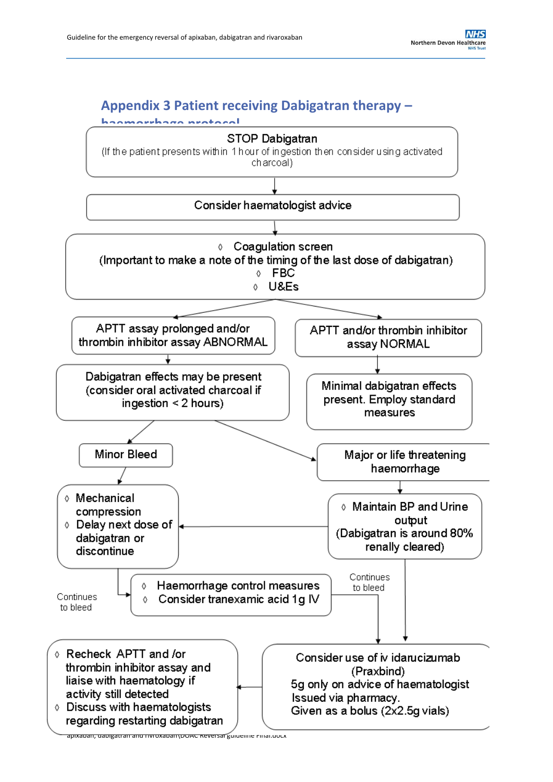## <span id="page-9-0"></span>**Appendix 3 Patient receiving Dabigatran therapy –**



apixaban, dabigatran and rivroxaban\DOAC Reversal guideline Final.docx